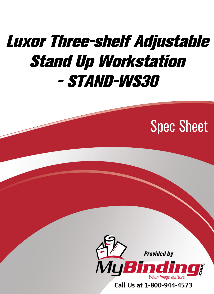# [Luxor Three-shelf Adjustable](https://www.mybinding.com/luxor-three-shelf-adjustable-stand-up-workstation-stand-ws30.html)  Stand Up Workstation - STAND-WS30

## Spec Sheet



Call Us at 1-800-944-4573